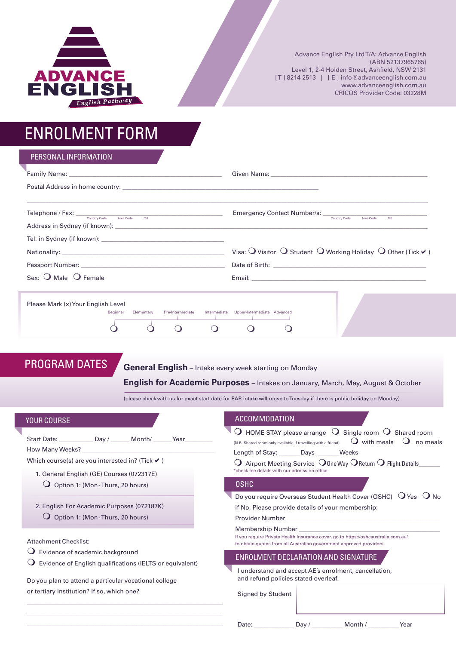

Advance English Pty Ltd T/A: Advance English (ABN 52137965765) Level 1, 2-4 Holden Street, Ashfield, NSW 2131 [T] 8214 2513 | [E] info@advanceenglish.com.au www.advanceenglish.com.au CRICOS Provider Code: 03228M

# ENROLMENT FORM

| PERSONAL INFORMATION                                                                                                                                                                                                                                                                                                                                                                                                                                                                 |                                                                                                                                                                                                                                                                                                                                                                                                                   |
|--------------------------------------------------------------------------------------------------------------------------------------------------------------------------------------------------------------------------------------------------------------------------------------------------------------------------------------------------------------------------------------------------------------------------------------------------------------------------------------|-------------------------------------------------------------------------------------------------------------------------------------------------------------------------------------------------------------------------------------------------------------------------------------------------------------------------------------------------------------------------------------------------------------------|
| Family Name: North Communication of the Communication of the Communication of the Communication of the Communication                                                                                                                                                                                                                                                                                                                                                                 | Given Name: William State And The Communication of the Communication of the Communication of the Communication                                                                                                                                                                                                                                                                                                    |
| Postal Address in home country: North and the state of the state of the state of the state of the state of the                                                                                                                                                                                                                                                                                                                                                                       |                                                                                                                                                                                                                                                                                                                                                                                                                   |
|                                                                                                                                                                                                                                                                                                                                                                                                                                                                                      | Area Code<br>Tel                                                                                                                                                                                                                                                                                                                                                                                                  |
| Address in Sydney (if known): Notified that the state of the state of the state of the state of the state of the state of the state of the state of the state of the state of the state of the state of the state of the state                                                                                                                                                                                                                                                       |                                                                                                                                                                                                                                                                                                                                                                                                                   |
|                                                                                                                                                                                                                                                                                                                                                                                                                                                                                      |                                                                                                                                                                                                                                                                                                                                                                                                                   |
|                                                                                                                                                                                                                                                                                                                                                                                                                                                                                      | Visa: $\bigcirc$ Visitor $\bigcirc$ Student $\bigcirc$ Working Holiday $\bigcirc$ Other (Tick $\checkmark$ )                                                                                                                                                                                                                                                                                                      |
| Passport Number: No. 2006. The Contract of the Contract of the Contract of the Contract of the Contract of the                                                                                                                                                                                                                                                                                                                                                                       |                                                                                                                                                                                                                                                                                                                                                                                                                   |
| Sex: $\bigcirc$ Male $\bigcirc$ Female                                                                                                                                                                                                                                                                                                                                                                                                                                               | Email: Email: And the state of the state of the state of the state of the state of the state of the state of the state of the state of the state of the state of the state of the state of the state of the state of the state                                                                                                                                                                                    |
| Please Mark (x) Your English Level<br>Intermediate Upper-Intermediate Advanced<br>Beginner<br>Pre-Intermediate<br>Elementary<br>$\Omega$<br>$\Omega$<br>$\Omega$<br>. .<br><b>PROGRAM DATES</b><br><b>General English</b> – Intake every week starting on Monday<br><b>English for Academic Purposes</b> – Intakes on January, March, May, August & October<br>(please check with us for exact start date for EAP, intake will move to Tuesday if there is public holiday on Monday) |                                                                                                                                                                                                                                                                                                                                                                                                                   |
| YOUR COURSE<br>Start Date: ____________ Day / _______ Month/ ______ Year ________<br>Which course(s) are you interested in? (Tick $\blacktriangledown$ )<br>1. General English (GE) Courses (072317E)                                                                                                                                                                                                                                                                                | <b>ACCOMMODATION</b><br>$\bigcirc$ HOME STAY please arrange $\bigcirc$ Single room $\bigcirc$ Shared room<br>$\overline{O}$ with meals $\overline{O}$ no meal<br>(N.B. Shared room only available if travelling with a friend)<br>Length of Stay: Days Weeks<br>$\bigcirc$ Airport Meeting Service $\bigcirc$ One Way $\bigcirc$ Return $\bigcirc$ Flight Details<br>*check fee details with our admission office |

- $\bigcirc$  Option 1: (Mon-Thurs, 20 hours)
- 2. English For Academic Purposes (072187K)  $\bigcirc$  Option 1: (Mon-Thurs, 20 hours)

Attachment Checklist:

- $\mathbf O$  Evidence of academic background
- $\bigcirc$  Evidence of English qualifications (IELTS or equivalent)

\_\_\_\_\_\_\_\_\_\_\_\_\_\_\_\_\_\_\_\_\_\_\_\_\_\_\_\_\_\_\_\_\_\_\_\_\_\_\_\_\_\_\_\_\_\_\_\_\_\_\_\_\_\_\_\_\_\_\_\_\_\_\_\_ \_\_\_\_\_\_\_\_\_\_\_\_\_\_\_\_\_\_\_\_\_\_\_\_\_\_\_\_\_\_\_\_\_\_\_\_\_\_\_\_\_\_\_\_\_\_\_\_\_\_\_\_\_\_\_\_\_\_\_\_\_\_\_\_ \_\_\_\_\_\_\_\_\_\_\_\_\_\_\_\_\_\_\_\_\_\_\_\_\_\_\_\_\_\_\_\_\_\_\_\_\_\_\_\_\_\_\_\_\_\_\_\_\_\_\_\_\_\_\_\_\_\_\_\_\_\_\_\_

Do you plan to attend a particular vocational college or tertiary institution? If so, which one?

## **OSHC**

Do you require Overseas Student Health Cover (OSHC)  $\overline{O}$  Yes  $\overline{O}$  No if No, Please provide details of your membership: Provider Number

Membership Number

If you require Private Health Insurance cover, go to https://oshcaustralia.com.au/ to obtain quotes from all Australian government approved providers

## ENROLMENT DECLARATION AND SIGNATURE

I understand and accept AE's enrolment, cancellation, and refund policies stated overleaf.

Signed by Student

Date: \_\_\_\_\_\_\_\_\_\_\_\_\_\_\_ Day / \_\_\_\_\_\_\_\_\_\_ Month / \_\_\_\_\_\_\_\_\_ Year